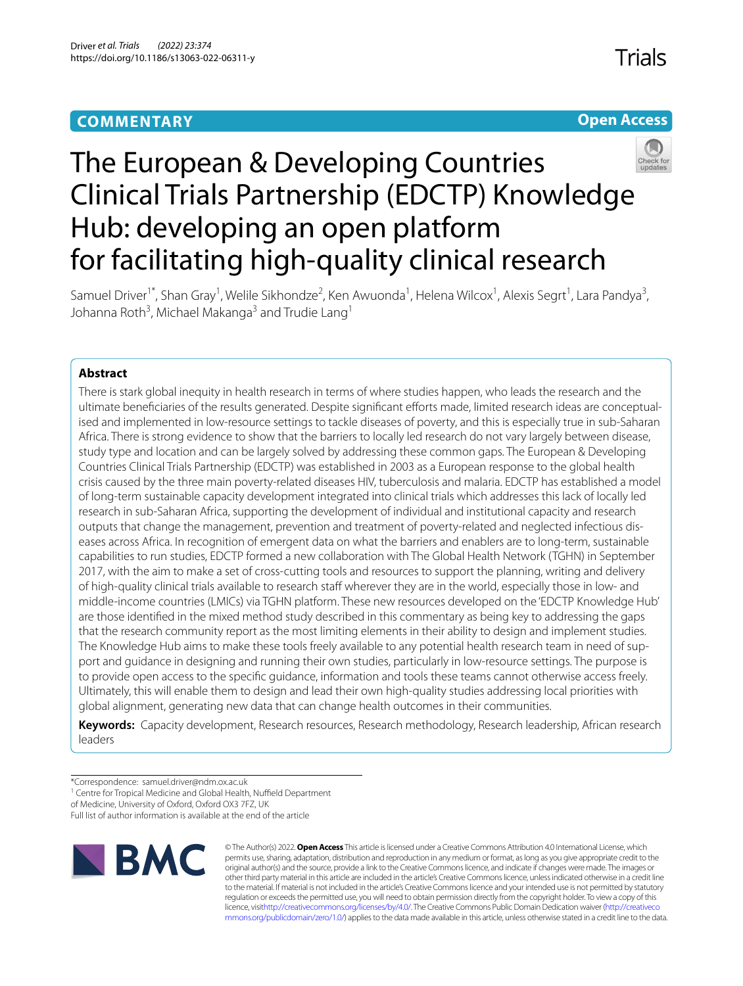# **COMMENTARY**

**Trials** 





# The European & Developing Countries Clinical Trials Partnership (EDCTP) Knowledge Hub: developing an open platform for facilitating high-quality clinical research

Samuel Driver<sup>1\*</sup>, Shan Gray<sup>1</sup>, Welile Sikhondze<sup>2</sup>, Ken Awuonda<sup>1</sup>, Helena Wilcox<sup>1</sup>, Alexis Segrt<sup>1</sup>, Lara Pandya<sup>3</sup>, Johanna Roth<sup>3</sup>, Michael Makanga<sup>3</sup> and Trudie Lang<sup>1</sup>

## **Abstract**

There is stark global inequity in health research in terms of where studies happen, who leads the research and the ultimate benefciaries of the results generated. Despite signifcant eforts made, limited research ideas are conceptualised and implemented in low-resource settings to tackle diseases of poverty, and this is especially true in sub-Saharan Africa. There is strong evidence to show that the barriers to locally led research do not vary largely between disease, study type and location and can be largely solved by addressing these common gaps. The European & Developing Countries Clinical Trials Partnership (EDCTP) was established in 2003 as a European response to the global health crisis caused by the three main poverty-related diseases HIV, tuberculosis and malaria. EDCTP has established a model of long-term sustainable capacity development integrated into clinical trials which addresses this lack of locally led research in sub-Saharan Africa, supporting the development of individual and institutional capacity and research outputs that change the management, prevention and treatment of poverty-related and neglected infectious diseases across Africa. In recognition of emergent data on what the barriers and enablers are to long-term, sustainable capabilities to run studies, EDCTP formed a new collaboration with The Global Health Network (TGHN) in September 2017, with the aim to make a set of cross-cutting tools and resources to support the planning, writing and delivery of high-quality clinical trials available to research staff wherever they are in the world, especially those in low- and middle-income countries (LMICs) via TGHN platform. These new resources developed on the 'EDCTP Knowledge Hub' are those identifed in the mixed method study described in this commentary as being key to addressing the gaps that the research community report as the most limiting elements in their ability to design and implement studies. The Knowledge Hub aims to make these tools freely available to any potential health research team in need of support and guidance in designing and running their own studies, particularly in low-resource settings. The purpose is to provide open access to the specifc guidance, information and tools these teams cannot otherwise access freely. Ultimately, this will enable them to design and lead their own high-quality studies addressing local priorities with global alignment, generating new data that can change health outcomes in their communities.

**Keywords:** Capacity development, Research resources, Research methodology, Research leadership, African research leaders

<sup>1</sup> Centre for Tropical Medicine and Global Health, Nuffield Department

of Medicine, University of Oxford, Oxford OX3 7FZ, UK

Full list of author information is available at the end of the article



© The Author(s) 2022. **Open Access** This article is licensed under a Creative Commons Attribution 4.0 International License, which permits use, sharing, adaptation, distribution and reproduction in any medium or format, as long as you give appropriate credit to the original author(s) and the source, provide a link to the Creative Commons licence, and indicate if changes were made. The images or other third party material in this article are included in the article's Creative Commons licence, unless indicated otherwise in a credit line to the material. If material is not included in the article's Creative Commons licence and your intended use is not permitted by statutory regulation or exceeds the permitted use, you will need to obtain permission directly from the copyright holder. To view a copy of this licence, visi[thttp://creativecommons.org/licenses/by/4.0/](http://creativecommons.org/licenses/by/4.0/). The Creative Commons Public Domain Dedication waiver [\(http://creativeco](http://creativecommons.org/publicdomain/zero/1.0/) [mmons.org/publicdomain/zero/1.0/](http://creativecommons.org/publicdomain/zero/1.0/)) applies to the data made available in this article, unless otherwise stated in a credit line to the data.

<sup>\*</sup>Correspondence: samuel.driver@ndm.ox.ac.uk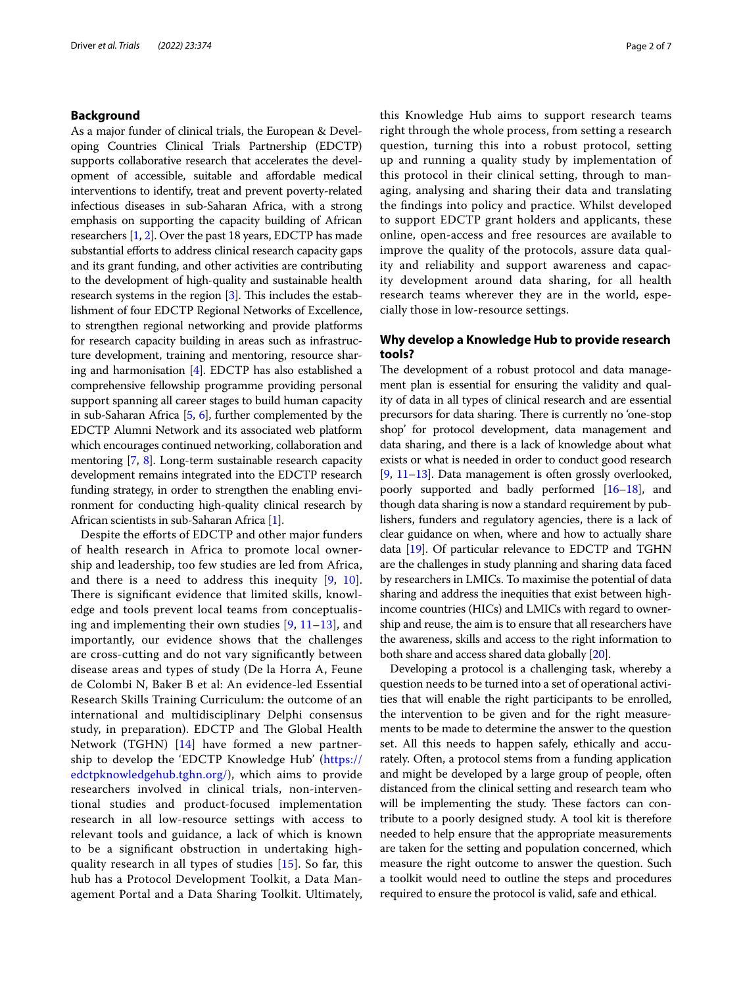## **Background**

As a major funder of clinical trials, the European & Developing Countries Clinical Trials Partnership (EDCTP) supports collaborative research that accelerates the development of accessible, suitable and afordable medical interventions to identify, treat and prevent poverty-related infectious diseases in sub-Saharan Africa, with a strong emphasis on supporting the capacity building of African researchers [[1,](#page-6-0) [2\]](#page-6-1). Over the past 18 years, EDCTP has made substantial efforts to address clinical research capacity gaps and its grant funding, and other activities are contributing to the development of high-quality and sustainable health research systems in the region  $[3]$  $[3]$ . This includes the establishment of four EDCTP Regional Networks of Excellence, to strengthen regional networking and provide platforms for research capacity building in areas such as infrastructure development, training and mentoring, resource sharing and harmonisation [\[4\]](#page-6-3). EDCTP has also established a comprehensive fellowship programme providing personal support spanning all career stages to build human capacity in sub-Saharan Africa [[5,](#page-6-4) [6](#page-6-5)], further complemented by the EDCTP Alumni Network and its associated web platform which encourages continued networking, collaboration and mentoring [[7](#page-6-6), [8\]](#page-6-7). Long-term sustainable research capacity development remains integrated into the EDCTP research funding strategy, in order to strengthen the enabling environment for conducting high-quality clinical research by African scientists in sub-Saharan Africa [\[1\]](#page-6-0).

Despite the efforts of EDCTP and other major funders of health research in Africa to promote local ownership and leadership, too few studies are led from Africa, and there is a need to address this inequity [[9,](#page-6-8) [10](#page-6-9)]. There is significant evidence that limited skills, knowledge and tools prevent local teams from conceptualising and implementing their own studies [[9,](#page-6-8) [11–](#page-6-10)[13\]](#page-6-11), and importantly, our evidence shows that the challenges are cross-cutting and do not vary signifcantly between disease areas and types of study (De la Horra A, Feune de Colombi N, Baker B et al: An evidence-led Essential Research Skills Training Curriculum: the outcome of an international and multidisciplinary Delphi consensus study, in preparation). EDCTP and The Global Health Network (TGHN) [[14\]](#page-6-12) have formed a new partnership to develop the 'EDCTP Knowledge Hub' [\(https://](https://edctpknowledgehub.tghn.org/) [edctpknowledgehub.tghn.org/](https://edctpknowledgehub.tghn.org/)), which aims to provide researchers involved in clinical trials, non-interventional studies and product-focused implementation research in all low-resource settings with access to relevant tools and guidance, a lack of which is known to be a signifcant obstruction in undertaking highquality research in all types of studies [[15\]](#page-6-13). So far, this hub has a Protocol Development Toolkit, a Data Management Portal and a Data Sharing Toolkit. Ultimately, this Knowledge Hub aims to support research teams right through the whole process, from setting a research question, turning this into a robust protocol, setting up and running a quality study by implementation of this protocol in their clinical setting, through to managing, analysing and sharing their data and translating the fndings into policy and practice. Whilst developed to support EDCTP grant holders and applicants, these online, open-access and free resources are available to improve the quality of the protocols, assure data quality and reliability and support awareness and capacity development around data sharing, for all health research teams wherever they are in the world, especially those in low-resource settings.

## **Why develop a Knowledge Hub to provide research tools?**

The development of a robust protocol and data management plan is essential for ensuring the validity and quality of data in all types of clinical research and are essential precursors for data sharing. There is currently no 'one-stop shop' for protocol development, data management and data sharing, and there is a lack of knowledge about what exists or what is needed in order to conduct good research [[9,](#page-6-8) [11](#page-6-10)[–13\]](#page-6-11). Data management is often grossly overlooked, poorly supported and badly performed [[16](#page-6-14)[–18\]](#page-6-15), and though data sharing is now a standard requirement by publishers, funders and regulatory agencies, there is a lack of clear guidance on when, where and how to actually share data [\[19](#page-6-16)]. Of particular relevance to EDCTP and TGHN are the challenges in study planning and sharing data faced by researchers in LMICs. To maximise the potential of data sharing and address the inequities that exist between highincome countries (HICs) and LMICs with regard to ownership and reuse, the aim is to ensure that all researchers have the awareness, skills and access to the right information to both share and access shared data globally [\[20\]](#page-6-17).

Developing a protocol is a challenging task, whereby a question needs to be turned into a set of operational activities that will enable the right participants to be enrolled, the intervention to be given and for the right measurements to be made to determine the answer to the question set. All this needs to happen safely, ethically and accurately. Often, a protocol stems from a funding application and might be developed by a large group of people, often distanced from the clinical setting and research team who will be implementing the study. These factors can contribute to a poorly designed study. A tool kit is therefore needed to help ensure that the appropriate measurements are taken for the setting and population concerned, which measure the right outcome to answer the question. Such a toolkit would need to outline the steps and procedures required to ensure the protocol is valid, safe and ethical.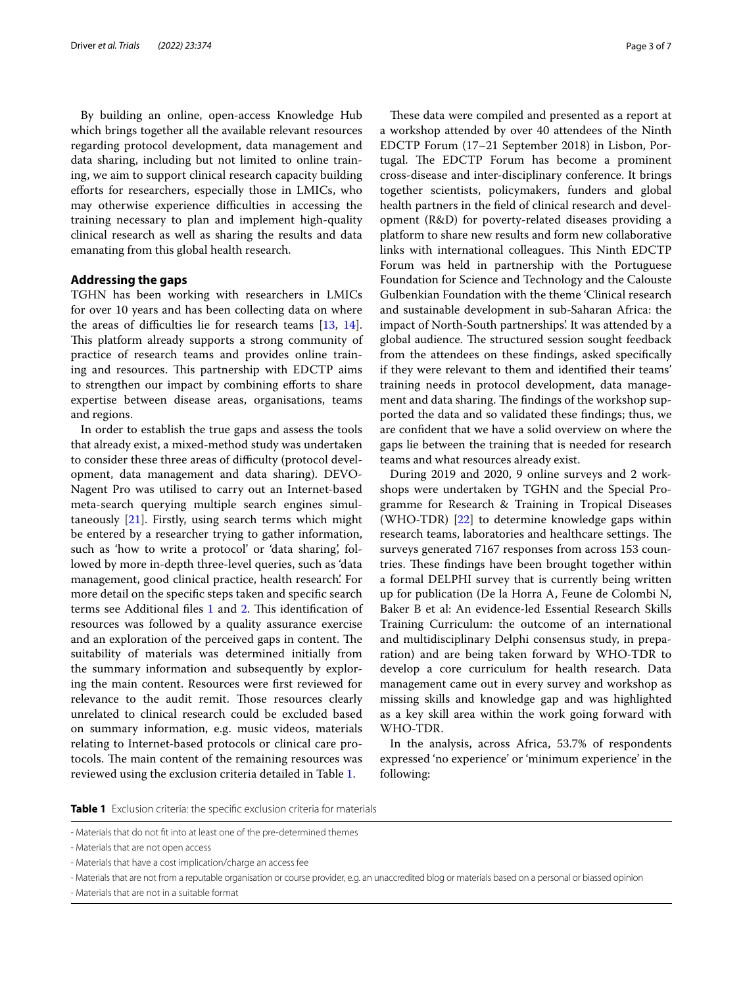By building an online, open-access Knowledge Hub which brings together all the available relevant resources regarding protocol development, data management and data sharing, including but not limited to online training, we aim to support clinical research capacity building eforts for researchers, especially those in LMICs, who may otherwise experience difficulties in accessing the training necessary to plan and implement high-quality clinical research as well as sharing the results and data emanating from this global health research.

## **Addressing the gaps**

TGHN has been working with researchers in LMICs for over 10 years and has been collecting data on where the areas of difficulties lie for research teams  $[13, 14]$  $[13, 14]$  $[13, 14]$  $[13, 14]$  $[13, 14]$ . This platform already supports a strong community of practice of research teams and provides online training and resources. This partnership with EDCTP aims to strengthen our impact by combining eforts to share expertise between disease areas, organisations, teams and regions.

In order to establish the true gaps and assess the tools that already exist, a mixed-method study was undertaken to consider these three areas of difficulty (protocol development, data management and data sharing). DEVO-Nagent Pro was utilised to carry out an Internet-based meta-search querying multiple search engines simultaneously [\[21\]](#page-6-18). Firstly, using search terms which might be entered by a researcher trying to gather information, such as 'how to write a protocol' or 'data sharing', followed by more in-depth three-level queries, such as 'data management, good clinical practice, health research'. For more detail on the specifc steps taken and specifc search terms see Additional files [1](#page-5-0) and [2](#page-5-1). This identification of resources was followed by a quality assurance exercise and an exploration of the perceived gaps in content. The suitability of materials was determined initially from the summary information and subsequently by exploring the main content. Resources were frst reviewed for relevance to the audit remit. Those resources clearly unrelated to clinical research could be excluded based on summary information, e.g. music videos, materials relating to Internet-based protocols or clinical care protocols. The main content of the remaining resources was reviewed using the exclusion criteria detailed in Table [1.](#page-2-0)

These data were compiled and presented as a report at a workshop attended by over 40 attendees of the Ninth EDCTP Forum (17–21 September 2018) in Lisbon, Portugal. The EDCTP Forum has become a prominent cross-disease and inter-disciplinary conference. It brings together scientists, policymakers, funders and global health partners in the feld of clinical research and development (R&D) for poverty-related diseases providing a platform to share new results and form new collaborative links with international colleagues. This Ninth EDCTP Forum was held in partnership with the Portuguese Foundation for Science and Technology and the Calouste Gulbenkian Foundation with the theme 'Clinical research and sustainable development in sub-Saharan Africa: the impact of North-South partnerships'. It was attended by a global audience. The structured session sought feedback from the attendees on these fndings, asked specifcally if they were relevant to them and identifed their teams' training needs in protocol development, data management and data sharing. The findings of the workshop supported the data and so validated these fndings; thus, we are confdent that we have a solid overview on where the gaps lie between the training that is needed for research teams and what resources already exist.

During 2019 and 2020, 9 online surveys and 2 workshops were undertaken by TGHN and the Special Programme for Research & Training in Tropical Diseases (WHO-TDR) [[22\]](#page-6-19) to determine knowledge gaps within research teams, laboratories and healthcare settings. The surveys generated 7167 responses from across 153 countries. These findings have been brought together within a formal DELPHI survey that is currently being written up for publication (De la Horra A, Feune de Colombi N, Baker B et al: An evidence-led Essential Research Skills Training Curriculum: the outcome of an international and multidisciplinary Delphi consensus study, in preparation) and are being taken forward by WHO-TDR to develop a core curriculum for health research. Data management came out in every survey and workshop as missing skills and knowledge gap and was highlighted as a key skill area within the work going forward with WHO-TDR.

In the analysis, across Africa, 53.7% of respondents expressed 'no experience' or 'minimum experience' in the following:

<span id="page-2-0"></span>**Table 1** Exclusion criteria: the specifc exclusion criteria for materials

<sup>-</sup> Materials that do not ft into at least one of the pre-determined themes

<sup>-</sup> Materials that are not open access

<sup>-</sup> Materials that have a cost implication/charge an access fee

<sup>-</sup> Materials that are not from a reputable organisation or course provider, e.g. an unaccredited blog or materials based on a personal or biassed opinion

<sup>-</sup> Materials that are not in a suitable format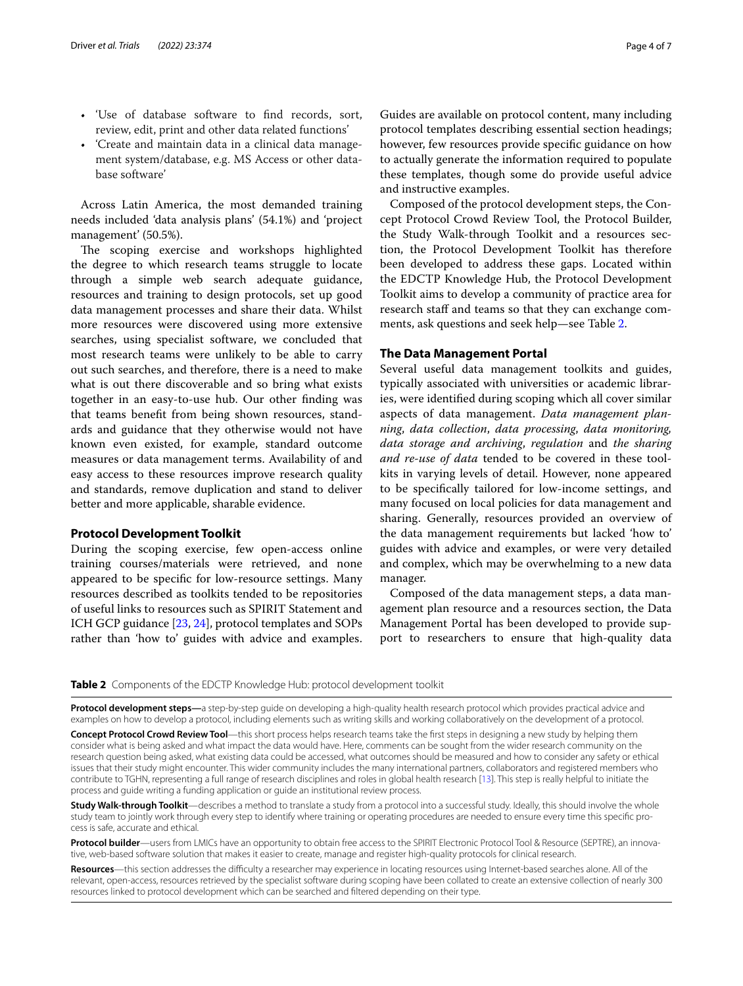- 'Use of database software to fnd records, sort, review, edit, print and other data related functions'
- 'Create and maintain data in a clinical data management system/database, e.g. MS Access or other database software'

Across Latin America, the most demanded training needs included 'data analysis plans' (54.1%) and 'project management' (50.5%).

The scoping exercise and workshops highlighted the degree to which research teams struggle to locate through a simple web search adequate guidance, resources and training to design protocols, set up good data management processes and share their data. Whilst more resources were discovered using more extensive searches, using specialist software, we concluded that most research teams were unlikely to be able to carry out such searches, and therefore, there is a need to make what is out there discoverable and so bring what exists together in an easy-to-use hub. Our other fnding was that teams beneft from being shown resources, standards and guidance that they otherwise would not have known even existed, for example, standard outcome measures or data management terms. Availability of and easy access to these resources improve research quality and standards, remove duplication and stand to deliver better and more applicable, sharable evidence.

## **Protocol Development Toolkit**

During the scoping exercise, few open-access online training courses/materials were retrieved, and none appeared to be specifc for low-resource settings. Many resources described as toolkits tended to be repositories of useful links to resources such as SPIRIT Statement and ICH GCP guidance [[23,](#page-6-20) [24](#page-6-21)], protocol templates and SOPs rather than 'how to' guides with advice and examples.

Composed of the protocol development steps, the Concept Protocol Crowd Review Tool, the Protocol Builder, the Study Walk-through Toolkit and a resources section, the Protocol Development Toolkit has therefore been developed to address these gaps. Located within the EDCTP Knowledge Hub, the Protocol Development Toolkit aims to develop a community of practice area for research staff and teams so that they can exchange comments, ask questions and seek help—see Table [2.](#page-3-0)

## **The Data Management Portal**

and instructive examples.

Several useful data management toolkits and guides, typically associated with universities or academic libraries, were identifed during scoping which all cover similar aspects of data management. *Data management planning*, *data collection*, *data processing*, *data monitoring, data storage and archiving*, *regulation* and *the sharing and re-use of data* tended to be covered in these toolkits in varying levels of detail. However, none appeared to be specifcally tailored for low-income settings, and many focused on local policies for data management and sharing. Generally, resources provided an overview of the data management requirements but lacked 'how to' guides with advice and examples, or were very detailed and complex, which may be overwhelming to a new data manager.

Composed of the data management steps, a data management plan resource and a resources section, the Data Management Portal has been developed to provide support to researchers to ensure that high-quality data

## <span id="page-3-0"></span>**Table 2** Components of the EDCTP Knowledge Hub: protocol development toolkit

**Protocol development steps—**a step-by-step guide on developing a high-quality health research protocol which provides practical advice and examples on how to develop a protocol, including elements such as writing skills and working collaboratively on the development of a protocol.

**Concept Protocol Crowd Review Tool**—this short process helps research teams take the frst steps in designing a new study by helping them consider what is being asked and what impact the data would have. Here, comments can be sought from the wider research community on the research question being asked, what existing data could be accessed, what outcomes should be measured and how to consider any safety or ethical issues that their study might encounter. This wider community includes the many international partners, collaborators and registered members who contribute to TGHN, representing a full range of research disciplines and roles in global health research [\[13\]](#page-6-11). This step is really helpful to initiate the process and guide writing a funding application or guide an institutional review process.

**Study Walk-through Toolkit**—describes a method to translate a study from a protocol into a successful study. Ideally, this should involve the whole study team to jointly work through every step to identify where training or operating procedures are needed to ensure every time this specifc process is safe, accurate and ethical.

**Protocol builder**—users from LMICs have an opportunity to obtain free access to the SPIRIT Electronic Protocol Tool & Resource (SEPTRE), an innovative, web-based software solution that makes it easier to create, manage and register high-quality protocols for clinical research.

Resources—this section addresses the difficulty a researcher may experience in locating resources using Internet-based searches alone. All of the relevant, open-access, resources retrieved by the specialist software during scoping have been collated to create an extensive collection of nearly 300 resources linked to protocol development which can be searched and fltered depending on their type.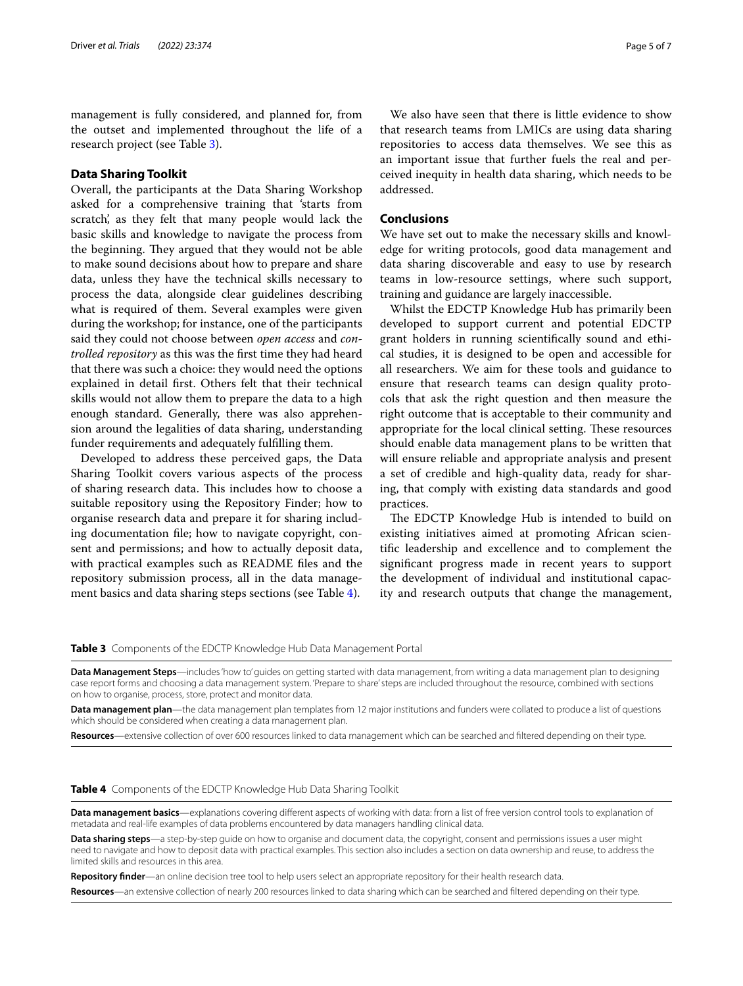management is fully considered, and planned for, from the outset and implemented throughout the life of a research project (see Table [3\)](#page-4-0).

## **Data Sharing Toolkit**

Overall, the participants at the Data Sharing Workshop asked for a comprehensive training that 'starts from scratch', as they felt that many people would lack the basic skills and knowledge to navigate the process from the beginning. They argued that they would not be able to make sound decisions about how to prepare and share data, unless they have the technical skills necessary to process the data, alongside clear guidelines describing what is required of them. Several examples were given during the workshop; for instance, one of the participants said they could not choose between *open access* and *controlled repository* as this was the frst time they had heard that there was such a choice: they would need the options explained in detail frst. Others felt that their technical skills would not allow them to prepare the data to a high enough standard. Generally, there was also apprehension around the legalities of data sharing, understanding funder requirements and adequately fulflling them.

Developed to address these perceived gaps, the Data Sharing Toolkit covers various aspects of the process of sharing research data. This includes how to choose a suitable repository using the Repository Finder; how to organise research data and prepare it for sharing including documentation fle; how to navigate copyright, consent and permissions; and how to actually deposit data, with practical examples such as README fles and the repository submission process, all in the data management basics and data sharing steps sections (see Table [4](#page-4-1)).

We also have seen that there is little evidence to show that research teams from LMICs are using data sharing repositories to access data themselves. We see this as an important issue that further fuels the real and perceived inequity in health data sharing, which needs to be addressed.

## **Conclusions**

We have set out to make the necessary skills and knowledge for writing protocols, good data management and data sharing discoverable and easy to use by research teams in low-resource settings, where such support, training and guidance are largely inaccessible.

Whilst the EDCTP Knowledge Hub has primarily been developed to support current and potential EDCTP grant holders in running scientifcally sound and ethical studies, it is designed to be open and accessible for all researchers. We aim for these tools and guidance to ensure that research teams can design quality protocols that ask the right question and then measure the right outcome that is acceptable to their community and appropriate for the local clinical setting. These resources should enable data management plans to be written that will ensure reliable and appropriate analysis and present a set of credible and high-quality data, ready for sharing, that comply with existing data standards and good practices.

The EDCTP Knowledge Hub is intended to build on existing initiatives aimed at promoting African scientifc leadership and excellence and to complement the signifcant progress made in recent years to support the development of individual and institutional capacity and research outputs that change the management,

<span id="page-4-0"></span>**Table 3** Components of the EDCTP Knowledge Hub Data Management Portal

**Data Management Steps**—includes 'how to' guides on getting started with data management, from writing a data management plan to designing case report forms and choosing a data management system. 'Prepare to share' steps are included throughout the resource, combined with sections on how to organise, process, store, protect and monitor data.

**Data management plan**—the data management plan templates from 12 major institutions and funders were collated to produce a list of questions which should be considered when creating a data management plan.

**Resources**—extensive collection of over 600 resources linked to data management which can be searched and fltered depending on their type.

## <span id="page-4-1"></span>**Table 4** Components of the EDCTP Knowledge Hub Data Sharing Toolkit

**Data management basics**—explanations covering diferent aspects of working with data: from a list of free version control tools to explanation of metadata and real-life examples of data problems encountered by data managers handling clinical data.

**Data sharing steps**—a step-by-step guide on how to organise and document data, the copyright, consent and permissions issues a user might need to navigate and how to deposit data with practical examples. This section also includes a section on data ownership and reuse, to address the limited skills and resources in this area.

**Repository fnder**—an online decision tree tool to help users select an appropriate repository for their health research data.

**Resources**—an extensive collection of nearly 200 resources linked to data sharing which can be searched and fltered depending on their type.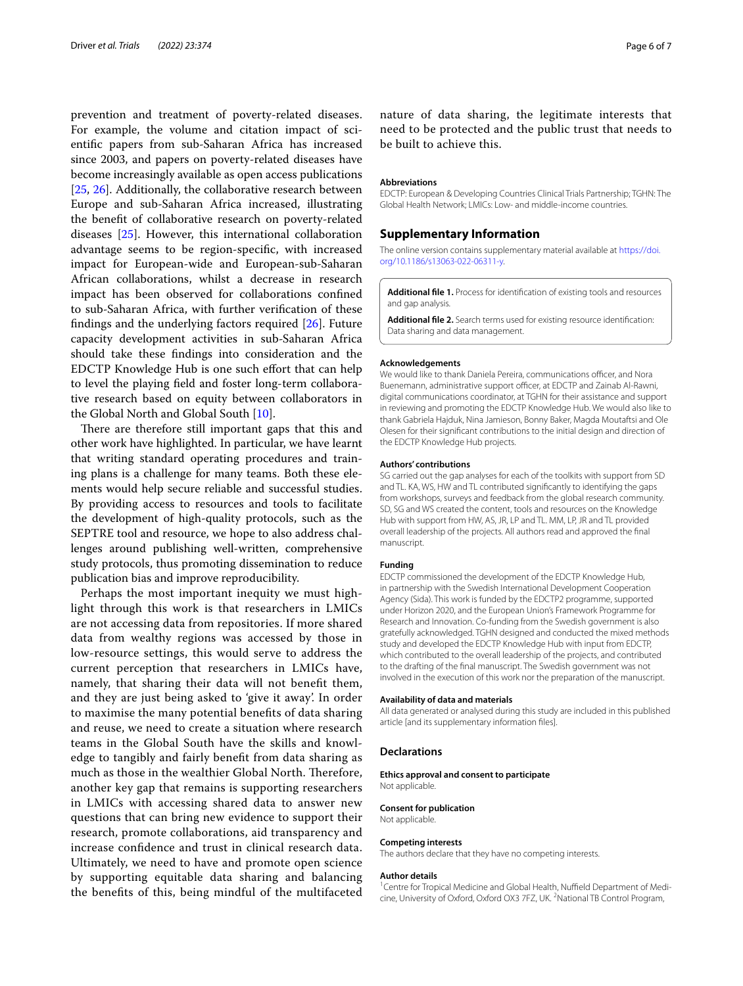prevention and treatment of poverty-related diseases. For example, the volume and citation impact of scientifc papers from sub-Saharan Africa has increased since 2003, and papers on poverty-related diseases have become increasingly available as open access publications [[25,](#page-6-22) [26\]](#page-6-23). Additionally, the collaborative research between Europe and sub-Saharan Africa increased, illustrating the beneft of collaborative research on poverty-related diseases [\[25](#page-6-22)]. However, this international collaboration advantage seems to be region-specifc, with increased impact for European-wide and European-sub-Saharan African collaborations, whilst a decrease in research impact has been observed for collaborations confned to sub-Saharan Africa, with further verifcation of these fndings and the underlying factors required [\[26](#page-6-23)]. Future capacity development activities in sub-Saharan Africa should take these fndings into consideration and the EDCTP Knowledge Hub is one such efort that can help to level the playing feld and foster long-term collaborative research based on equity between collaborators in the Global North and Global South [[10\]](#page-6-9).

There are therefore still important gaps that this and other work have highlighted. In particular, we have learnt that writing standard operating procedures and training plans is a challenge for many teams. Both these elements would help secure reliable and successful studies. By providing access to resources and tools to facilitate the development of high-quality protocols, such as the SEPTRE tool and resource, we hope to also address challenges around publishing well-written, comprehensive study protocols, thus promoting dissemination to reduce publication bias and improve reproducibility.

Perhaps the most important inequity we must highlight through this work is that researchers in LMICs are not accessing data from repositories. If more shared data from wealthy regions was accessed by those in low-resource settings, this would serve to address the current perception that researchers in LMICs have, namely, that sharing their data will not beneft them, and they are just being asked to 'give it away'. In order to maximise the many potential benefts of data sharing and reuse, we need to create a situation where research teams in the Global South have the skills and knowledge to tangibly and fairly beneft from data sharing as much as those in the wealthier Global North. Therefore, another key gap that remains is supporting researchers in LMICs with accessing shared data to answer new questions that can bring new evidence to support their research, promote collaborations, aid transparency and increase confdence and trust in clinical research data. Ultimately, we need to have and promote open science by supporting equitable data sharing and balancing the benefts of this, being mindful of the multifaceted nature of data sharing, the legitimate interests that need to be protected and the public trust that needs to be built to achieve this.

#### **Abbreviations**

EDCTP: European & Developing Countries Clinical Trials Partnership; TGHN: The Global Health Network; LMICs: Low- and middle-income countries.

## **Supplementary Information**

The online version contains supplementary material available at [https://doi.](https://doi.org/10.1186/s13063-022-06311-y) [org/10.1186/s13063-022-06311-y.](https://doi.org/10.1186/s13063-022-06311-y)

<span id="page-5-1"></span><span id="page-5-0"></span>**Additional fle 1.** Process for identifcation of existing tools and resources and gap analysis.

**Additional fle 2.** Search terms used for existing resource identifcation: Data sharing and data management.

#### **Acknowledgements**

We would like to thank Daniela Pereira, communications officer, and Nora Buenemann, administrative support officer, at EDCTP and Zainab Al-Rawni, digital communications coordinator, at TGHN for their assistance and support in reviewing and promoting the EDCTP Knowledge Hub. We would also like to thank Gabriela Hajduk, Nina Jamieson, Bonny Baker, Magda Moutaftsi and Ole Olesen for their signifcant contributions to the initial design and direction of the EDCTP Knowledge Hub projects.

#### **Authors' contributions**

SG carried out the gap analyses for each of the toolkits with support from SD and TL. KA, WS, HW and TL contributed signifcantly to identifying the gaps from workshops, surveys and feedback from the global research community. SD, SG and WS created the content, tools and resources on the Knowledge Hub with support from HW, AS, JR, LP and TL. MM, LP, JR and TL provided overall leadership of the projects. All authors read and approved the fnal manuscript.

#### **Funding**

EDCTP commissioned the development of the EDCTP Knowledge Hub, in partnership with the Swedish International Development Cooperation Agency (Sida). This work is funded by the EDCTP2 programme, supported under Horizon 2020, and the European Union's Framework Programme for Research and Innovation. Co-funding from the Swedish government is also gratefully acknowledged. TGHN designed and conducted the mixed methods study and developed the EDCTP Knowledge Hub with input from EDCTP, which contributed to the overall leadership of the projects, and contributed to the drafting of the fnal manuscript. The Swedish government was not involved in the execution of this work nor the preparation of the manuscript.

#### **Availability of data and materials**

All data generated or analysed during this study are included in this published article [and its supplementary information fles].

#### **Declarations**

**Ethics approval and consent to participate**

Not applicable.

## **Consent for publication**

Not applicable.

## **Competing interests**

The authors declare that they have no competing interests.

#### **Author details**

<sup>1</sup> Centre for Tropical Medicine and Global Health, Nuffield Department of Medicine, University of Oxford, Oxford OX3 7FZ, UK. <sup>2</sup>National TB Control Program,